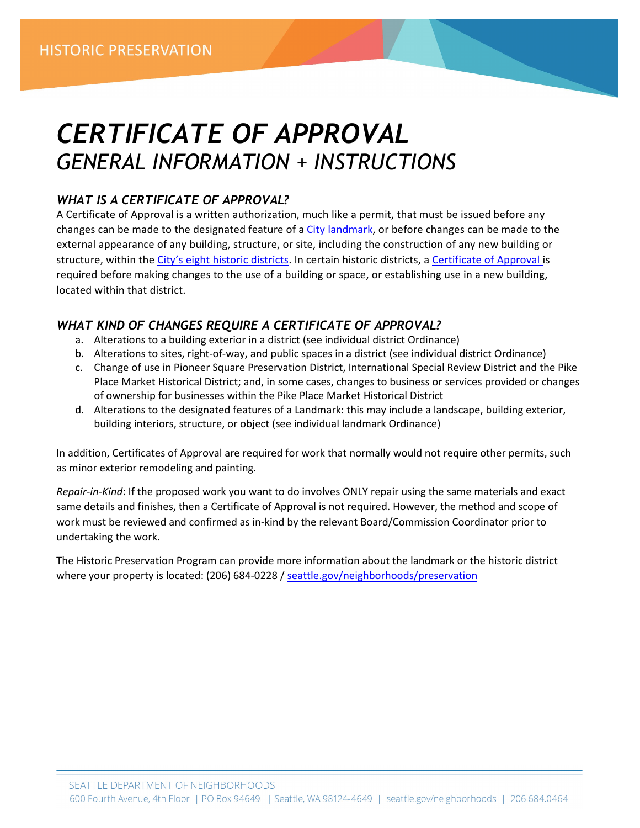# *CERTIFICATE OF APPROVAL GENERAL INFORMATION + INSTRUCTIONS*

# *WHAT IS A CERTIFICATE OF APPROVAL?*

A Certificate of Approval is a written authorization, much like a permit, that must be issued before any changes can be made to the designated feature of a City [landmark,](https://www.seattle.gov/neighborhoods/programs-and-services/historic-preservation/landmarks) or before changes can be made to the external appearance of any building, structure, or site, including the construction of any new building or structure, within the City's eight historic [districts.](https://www.seattle.gov/neighborhoods/programs-and-services/historic-preservation/historic-districts) In certain historic districts, a [Certificate](http://www.seattle.gov/neighborhoods/programs-and-services/historic-preservation/certificate-of-approval) of Approval is required before making changes to the use of a building or space, or establishing use in a new building, located within that district.

# *WHAT KIND OF CHANGES REQUIRE A CERTIFICATE OF APPROVAL?*

- a. Alterations to a building exterior in a district (see individual district Ordinance)
- b. Alterations to sites, right-of-way, and public spaces in a district (see individual district Ordinance)
- c. Change of use in Pioneer Square Preservation District, International Special Review District and the Pike Place Market Historical District; and, in some cases, changes to business or services provided or changes of ownership for businesses within the Pike Place Market Historical District
- d. Alterations to the designated features of a Landmark: this may include a landscape, building exterior, building interiors, structure, or object (see individual landmark Ordinance)

In addition, Certificates of Approval are required for work that normally would not require other permits, such as minor exterior remodeling and painting.

*Repair-in-Kind*: If the proposed work you want to do involves ONLY repair using the same materials and exact same details and finishes, then a Certificate of Approval is not required. However, the method and scope of work must be reviewed and confirmed as in-kind by the relevant Board/Commission Coordinator prior to undertaking the work.

The Historic Preservation Program can provide more information about the landmark or the historic district where your property is located: (206) 684-0228 / [seattle.gov/neighborhoods/preservation](http://www.seattle.gov/neighborhoods/historic-preservation)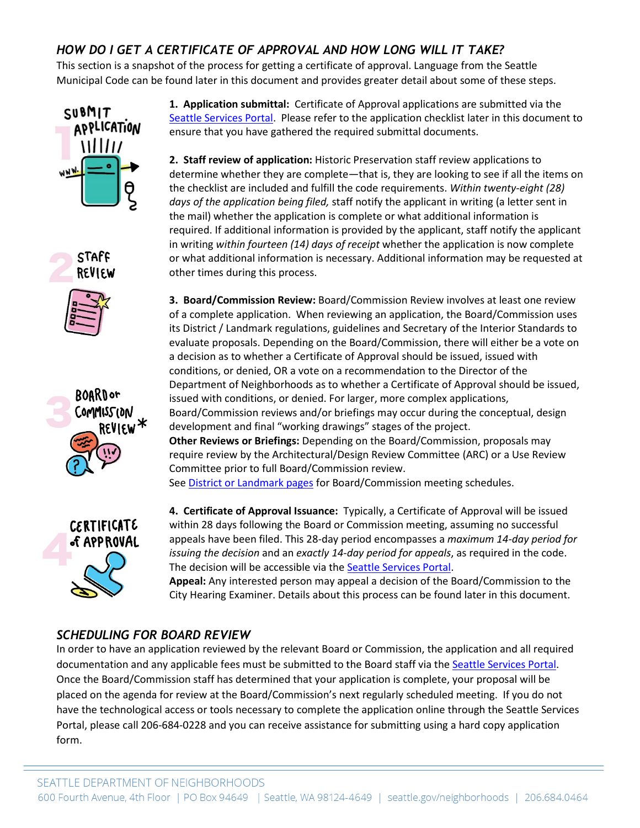# *HOW DO I GET A CERTIFICATE OF APPROVAL AND HOW LONG WILL IT TAKE?*

This section is a snapshot of the process for getting a certificate of approval. Language from the Seattle Municipal Code can be found later in this document and provides greater detail about some of these steps.











**1. Application submittal:** Certificate of Approval applications are submitted via the [Seattle Services Portal.](https://cosaccela.seattle.gov/Portal/welcome.aspx) Please refer to the application checklist later in this document to ensure that you have gathered the required submittal documents.

**2. Staff review of application:** Historic Preservation staff review applications to determine whether they are complete—that is, they are looking to see if all the items on the checklist are included and fulfill the code requirements. *Within twenty-eight (28) days of the application being filed,* staff notify the applicant in writing (a letter sent in the mail) whether the application is complete or what additional information is required. If additional information is provided by the applicant, staff notify the applicant in writing *within fourteen (14) days of receipt* whether the application is now complete or what additional information is necessary. Additional information may be requested at other times during this process.

**3. Board/Commission Review:** Board/Commission Review involves at least one review of a complete application. When reviewing an application, the Board/Commission uses its District / Landmark regulations, guidelines and Secretary of the Interior Standards to evaluate proposals. Depending on the Board/Commission, there will either be a vote on a decision as to whether a Certificate of Approval should be issued, issued with conditions, or denied, OR a vote on a recommendation to the Director of the Department of Neighborhoods as to whether a Certificate of Approval should be issued, issued with conditions, or denied. For larger, more complex applications, Board/Commission reviews and/or briefings may occur during the conceptual, design development and final "working drawings" stages of the project. **Other Reviews or Briefings:** Depending on the Board/Commission, proposals may require review by the Architectural/Design Review Committee (ARC) or a Use Review Committee prior to full Board/Commission review. See **District or Landmark pages** for Board/Commission meeting schedules.

**4. Certificate of Approval Issuance:** Typically, a Certificate of Approval will be issued within 28 days following the Board or Commission meeting, assuming no successful appeals have been filed. This 28-day period encompasses a *maximum 14-day period for issuing the decision* and an *exactly 14-day period for appeals*, as required in the code. The decision will be accessible via the **Seattle Services Portal**.

**Appeal:** Any interested person may appeal a decision of the Board/Commission to the City Hearing Examiner. Details about this process can be found later in this document.

# *SCHEDULING FOR BOARD REVIEW*

In order to have an application reviewed by the relevant Board or Commission, the application and all required documentation and any applicable fees must be submitted to the Board staff via the [Seattle Services Portal.](https://cosaccela.seattle.gov/Portal/welcome.aspx) Once the Board/Commission staff has determined that your application is complete, your proposal will be placed on the agenda for review at the Board/Commission's next regularly scheduled meeting. If you do not have the technological access or tools necessary to complete the application online through the Seattle Services Portal, please call 206-684-0228 and you can receive assistance for submitting using a hard copy application form.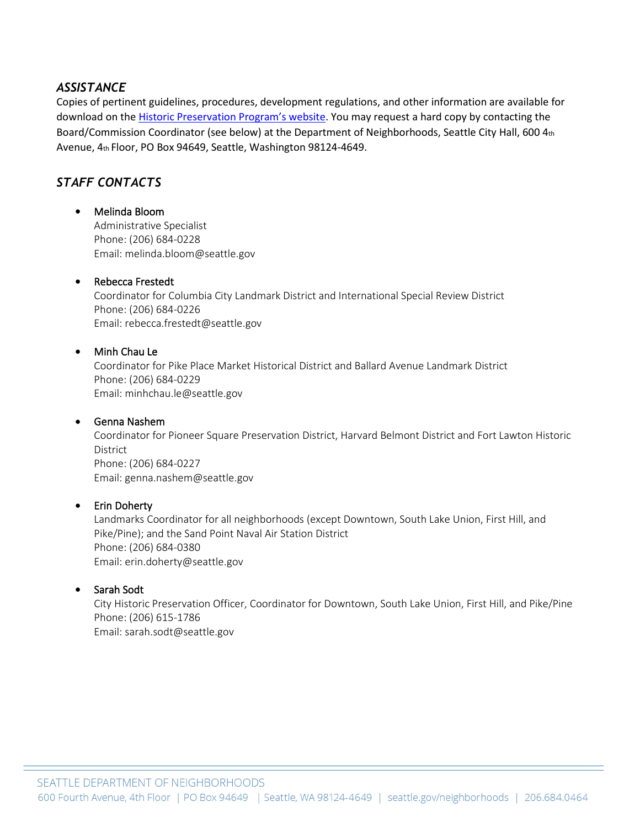#### *ASSISTANCE*

Copies of pertinent guidelines, procedures, development regulations, and other information are available for download on the **Historic Preservation Program's website**. You may request a hard copy by contacting the Board/Commission Coordinator (see below) at the Department of Neighborhoods, Seattle City Hall, 600 4th Avenue, 4th Floor, PO Box 94649, Seattle, Washington 98124-4649.

### *STAFF CONTACTS*

#### • Melinda Bloom

Administrative Specialist Phone: (206) 684-0228 Email: melinda.bloom@seattle.gov

#### • Rebecca Frestedt

Coordinator for Columbia City Landmark District and International Special Review District Phone: (206) 684-0226 Email: rebecca.frestedt@seattle.gov

#### • Minh Chau Le

Coordinator for Pike Place Market Historical District and Ballard Avenue Landmark District Phone: (206) 684-0229 Email: minhchau.le@seattle.gov

#### • Genna Nashem

Coordinator for Pioneer Square Preservation District, Harvard Belmont District and Fort Lawton Historic District Phone: (206) 684-0227 Email: genna.nashem@seattle.gov

#### • Erin Doherty

Landmarks Coordinator for all neighborhoods (except Downtown, South Lake Union, First Hill, and Pike/Pine); and the Sand Point Naval Air Station District Phone: (206) 684-0380 Email: erin.doherty@seattle.gov

#### • Sarah Sodt

City Historic Preservation Officer, Coordinator for Downtown, South Lake Union, First Hill, and Pike/Pine Phone: (206) 615-1786 Email: sarah.sodt@seattle.gov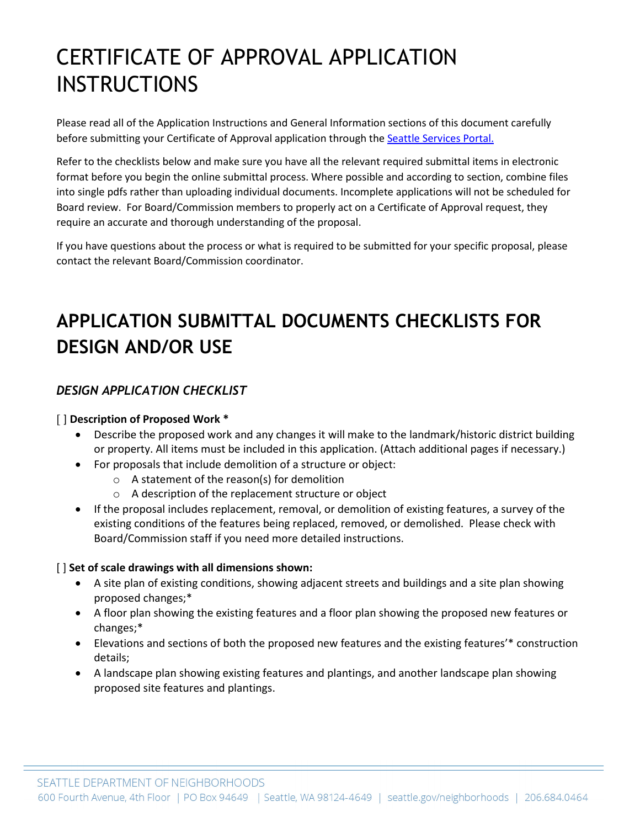# CERTIFICATE OF APPROVAL APPLICATION **INSTRUCTIONS**

Please read all of the Application Instructions and General Information sections of this document carefully before submitting your Certificate of Approval application through th[e Seattle Services Portal.](https://cosaccela.seattle.gov/Portal/welcome.aspx)

Refer to the checklists below and make sure you have all the relevant required submittal items in electronic format before you begin the online submittal process. Where possible and according to section, combine files into single pdfs rather than uploading individual documents. Incomplete applications will not be scheduled for Board review. For Board/Commission members to properly act on a Certificate of Approval request, they require an accurate and thorough understanding of the proposal.

If you have questions about the process or what is required to be submitted for your specific proposal, please contact the relevant Board/Commission coordinator.

# **APPLICATION SUBMITTAL DOCUMENTS CHECKLISTS FOR DESIGN AND/OR USE**

# *DESIGN APPLICATION CHECKLIST*

#### [ ] **Description of Proposed Work \***

- Describe the proposed work and any changes it will make to the landmark/historic district building or property. All items must be included in this application. (Attach additional pages if necessary.)
- For proposals that include demolition of a structure or object:
	- o A statement of the reason(s) for demolition
		- o A description of the replacement structure or object
- If the proposal includes replacement, removal, or demolition of existing features, a survey of the existing conditions of the features being replaced, removed, or demolished. Please check with Board/Commission staff if you need more detailed instructions.

#### [ ] **Set of scale drawings with all dimensions shown:**

- A site plan of existing conditions, showing adjacent streets and buildings and a site plan showing proposed changes;\*
- A floor plan showing the existing features and a floor plan showing the proposed new features or changes;\*
- Elevations and sections of both the proposed new features and the existing features'\* construction details;
- A landscape plan showing existing features and plantings, and another landscape plan showing proposed site features and plantings.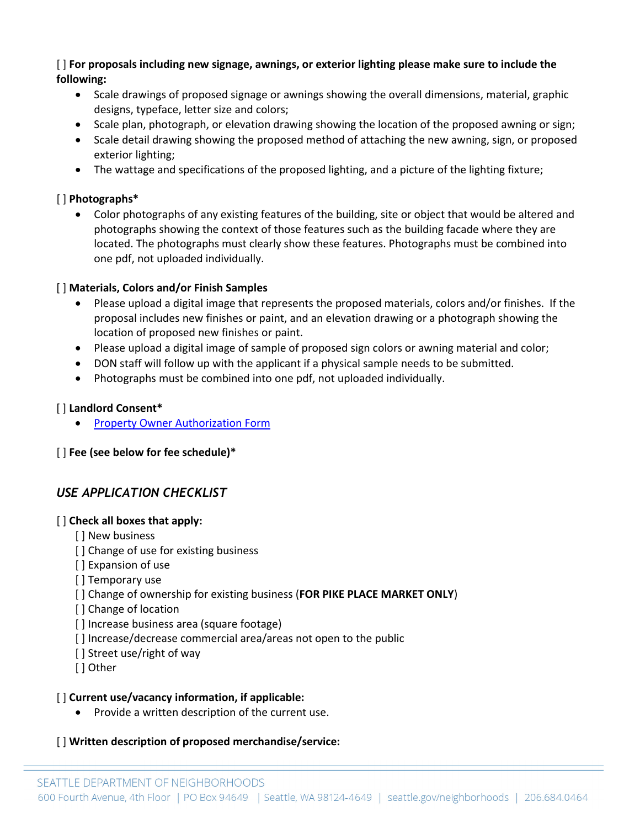[ ] **For proposals including new signage, awnings, or exterior lighting please make sure to include the following:** 

- Scale drawings of proposed signage or awnings showing the overall dimensions, material, graphic designs, typeface, letter size and colors;
- Scale plan, photograph, or elevation drawing showing the location of the proposed awning or sign;
- Scale detail drawing showing the proposed method of attaching the new awning, sign, or proposed exterior lighting;
- The wattage and specifications of the proposed lighting, and a picture of the lighting fixture;

#### [ ] **Photographs\***

• Color photographs of any existing features of the building, site or object that would be altered and photographs showing the context of those features such as the building facade where they are located. The photographs must clearly show these features. Photographs must be combined into one pdf, not uploaded individually.

#### [ ] **Materials, Colors and/or Finish Samples**

- Please upload a digital image that represents the proposed materials, colors and/or finishes. If the proposal includes new finishes or paint, and an elevation drawing or a photograph showing the location of proposed new finishes or paint.
- Please upload a digital image of sample of proposed sign colors or awning material and color;
- DON staff will follow up with the applicant if a physical sample needs to be submitted.
- Photographs must be combined into one pdf, not uploaded individually.

#### [ ] **Landlord Consent\***

**[Property Owner Authorization Form](http://www.seattle.gov/Documents/Departments/Neighborhoods/HistoricPreservation/DON-HP-Property-Owner-Authorization.docx)** 

#### [ ] **Fee (see below for fee schedule)\***

# *USE APPLICATION CHECKLIST*

#### [ ] **Check all boxes that apply:**

- [] New business
- [] Change of use for existing business
- [ ] Expansion of use
- [] Temporary use
- [ ] Change of ownership for existing business (**FOR PIKE PLACE MARKET ONLY**)
- [] Change of location
- [ ] Increase business area (square footage)
- [ ] Increase/decrease commercial area/areas not open to the public
- [ ] Street use/right of way
- [ ] Other

#### [ ] **Current use/vacancy information, if applicable:**

• Provide a written description of the current use.

#### [ ] **Written description of proposed merchandise/service:**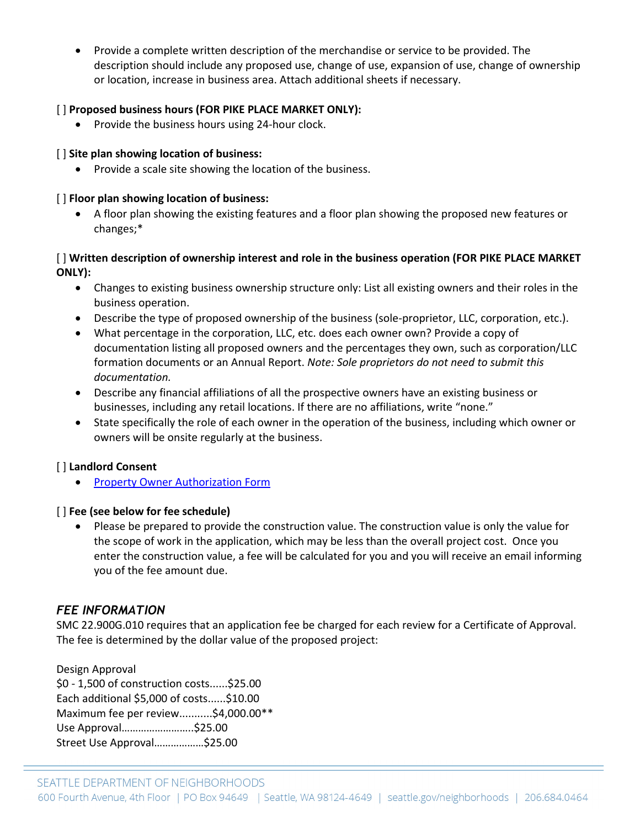• Provide a complete written description of the merchandise or service to be provided. The description should include any proposed use, change of use, expansion of use, change of ownership or location, increase in business area. Attach additional sheets if necessary.

#### [ ] **Proposed business hours (FOR PIKE PLACE MARKET ONLY):**

• Provide the business hours using 24-hour clock.

#### [ ] **Site plan showing location of business:**

• Provide a scale site showing the location of the business.

#### [ ] **Floor plan showing location of business:**

• A floor plan showing the existing features and a floor plan showing the proposed new features or changes;\*

#### [ ] **Written description of ownership interest and role in the business operation (FOR PIKE PLACE MARKET ONLY):**

- Changes to existing business ownership structure only: List all existing owners and their roles in the business operation.
- Describe the type of proposed ownership of the business (sole-proprietor, LLC, corporation, etc.).
- What percentage in the corporation, LLC, etc. does each owner own? Provide a copy of documentation listing all proposed owners and the percentages they own, such as corporation/LLC formation documents or an Annual Report. *Note: Sole proprietors do not need to submit this documentation.*
- Describe any financial affiliations of all the prospective owners have an existing business or businesses, including any retail locations. If there are no affiliations, write "none."
- State specifically the role of each owner in the operation of the business, including which owner or owners will be onsite regularly at the business.

#### [ ] **Landlord Consent**

• [Property Owner Authorization Form](http://www.seattle.gov/Documents/Departments/Neighborhoods/HistoricPreservation/DON-HP-Property-Owner-Authorization.docx)

#### [ ] **Fee (see below for fee schedule)**

• Please be prepared to provide the construction value. The construction value is only the value for the scope of work in the application, which may be less than the overall project cost. Once you enter the construction value, a fee will be calculated for you and you will receive an email informing you of the fee amount due.

#### *FEE INFORMATION*

SMC 22.900G.010 requires that an application fee be charged for each review for a Certificate of Approval. The fee is determined by the dollar value of the proposed project:

Design Approval \$0 - 1,500 of construction costs......\$25.00 Each additional \$5,000 of costs......\$10.00 Maximum fee per review...........\$4,000.00\*\* Use Approval……………………..\$25.00 Street Use Approval………………\$25.00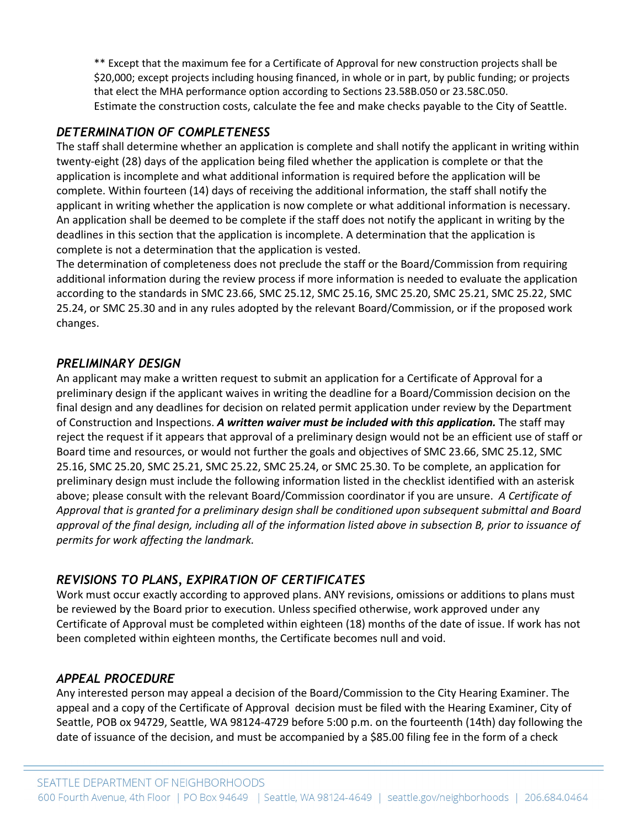\*\* Except that the maximum fee for a Certificate of Approval for new construction projects shall be \$20,000; except projects including housing financed, in whole or in part, by public funding; or projects that elect the MHA performance option according to Sections 23.58B.050 or 23.58C.050. Estimate the construction costs, calculate the fee and make checks payable to the City of Seattle.

### *DETERMINATION OF COMPLETENESS*

The staff shall determine whether an application is complete and shall notify the applicant in writing within twenty-eight (28) days of the application being filed whether the application is complete or that the application is incomplete and what additional information is required before the application will be complete. Within fourteen (14) days of receiving the additional information, the staff shall notify the applicant in writing whether the application is now complete or what additional information is necessary. An application shall be deemed to be complete if the staff does not notify the applicant in writing by the deadlines in this section that the application is incomplete. A determination that the application is complete is not a determination that the application is vested.

The determination of completeness does not preclude the staff or the Board/Commission from requiring additional information during the review process if more information is needed to evaluate the application according to the standards in SMC 23.66, SMC 25.12, SMC 25.16, SMC 25.20, SMC 25.21, SMC 25.22, SMC 25.24, or SMC 25.30 and in any rules adopted by the relevant Board/Commission, or if the proposed work changes.

#### *PRELIMINARY DESIGN*

An applicant may make a written request to submit an application for a Certificate of Approval for a preliminary design if the applicant waives in writing the deadline for a Board/Commission decision on the final design and any deadlines for decision on related permit application under review by the Department of Construction and Inspections. *A written waiver must be included with this application.* The staff may reject the request if it appears that approval of a preliminary design would not be an efficient use of staff or Board time and resources, or would not further the goals and objectives of SMC 23.66, SMC 25.12, SMC 25.16, SMC 25.20, SMC 25.21, SMC 25.22, SMC 25.24, or SMC 25.30. To be complete, an application for preliminary design must include the following information listed in the checklist identified with an asterisk above; please consult with the relevant Board/Commission coordinator if you are unsure. *A Certificate of Approval that is granted for a preliminary design shall be conditioned upon subsequent submittal and Board approval of the final design, including all of the information listed above in subsection B, prior to issuance of permits for work affecting the landmark.*

# *REVISIONS TO PLANS, EXPIRATION OF CERTIFICATES*

Work must occur exactly according to approved plans. ANY revisions, omissions or additions to plans must be reviewed by the Board prior to execution. Unless specified otherwise, work approved under any Certificate of Approval must be completed within eighteen (18) months of the date of issue. If work has not been completed within eighteen months, the Certificate becomes null and void.

# *APPEAL PROCEDURE*

Any interested person may appeal a decision of the Board/Commission to the City Hearing Examiner. The appeal and a copy of the Certificate of Approval decision must be filed with the Hearing Examiner, City of Seattle, POB ox 94729, Seattle, WA 98124-4729 before 5:00 p.m. on the fourteenth (14th) day following the date of issuance of the decision, and must be accompanied by a \$85.00 filing fee in the form of a check